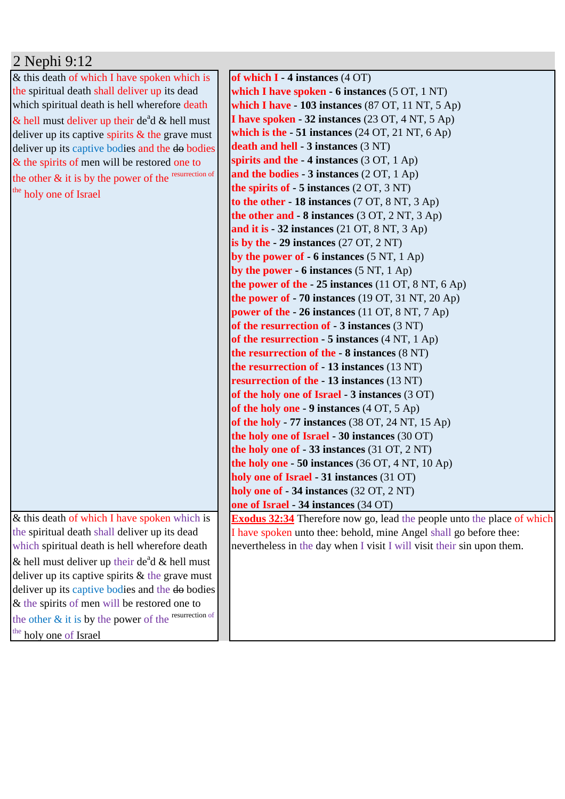## 2 Nephi 9:12

& this death of which I have spoken which is the spiritual death shall deliver up its dead which spiritual death is hell wherefore death  $\&$  hell must deliver up their de<sup>a</sup>d  $\&$  hell must deliver up its captive spirits  $\&$  the grave must deliver up its captive bodies and the do bodies & the spirits of men will be restored one to the other  $\&$  it is by the power of the resurrection of the holy one of Israel

& this death of which I have spoken which is the spiritual death shall deliver up its dead which spiritual death is hell wherefore death & hell must deliver up their de<sup>a</sup>d & hell must deliver up its captive spirits  $&$  the grave must deliver up its captive bodies and the do bodies & the spirits of men will be restored one to the other & it is by the power of the resurrection of the holy one of Israel

**of which I - 4 instances** (4 OT) **which I have spoken - 6 instances** (5 OT, 1 NT) **which I have - 103 instances** (87 OT, 11 NT, 5 Ap) **I have spoken - 32 instances** (23 OT, 4 NT, 5 Ap) **which is the - 51 instances** (24 OT, 21 NT, 6 Ap) **death and hell - 3 instances** (3 NT) **spirits and the - 4 instances** (3 OT, 1 Ap) **and the bodies - 3 instances** (2 OT, 1 Ap) **the spirits of - 5 instances** (2 OT, 3 NT) **to the other - 18 instances** (7 OT, 8 NT, 3 Ap) **the other and - 8 instances** (3 OT, 2 NT, 3 Ap) **and it is - 32 instances** (21 OT, 8 NT, 3 Ap) **is by the - 29 instances** (27 OT, 2 NT) **by the power of - 6 instances** (5 NT, 1 Ap) **by the power - 6 instances** (5 NT, 1 Ap) **the power of the - 25 instances** (11 OT, 8 NT, 6 Ap) **the power of - 70 instances** (19 OT, 31 NT, 20 Ap) **power of the - 26 instances** (11 OT, 8 NT, 7 Ap) **of the resurrection of - 3 instances** (3 NT) **of the resurrection - 5 instances** (4 NT, 1 Ap) **the resurrection of the - 8 instances** (8 NT) **the resurrection of - 13 instances** (13 NT) **resurrection of the - 13 instances** (13 NT) **of the holy one of Israel - 3 instances** (3 OT) **of the holy one - 9 instances** (4 OT, 5 Ap) **of the holy - 77 instances** (38 OT, 24 NT, 15 Ap) **the holy one of Israel - 30 instances** (30 OT) **the holy one of - 33 instances** (31 OT, 2 NT) **the holy one - 50 instances** (36 OT, 4 NT, 10 Ap) **holy one of Israel - 31 instances** (31 OT) **holy one of - 34 instances** (32 OT, 2 NT) **one of Israel - 34 instances** (34 OT) **Exodus 32:34** Therefore now go, lead the people unto the place of which I have spoken unto thee: behold, mine Angel shall go before thee: nevertheless in the day when I visit I will visit their sin upon them.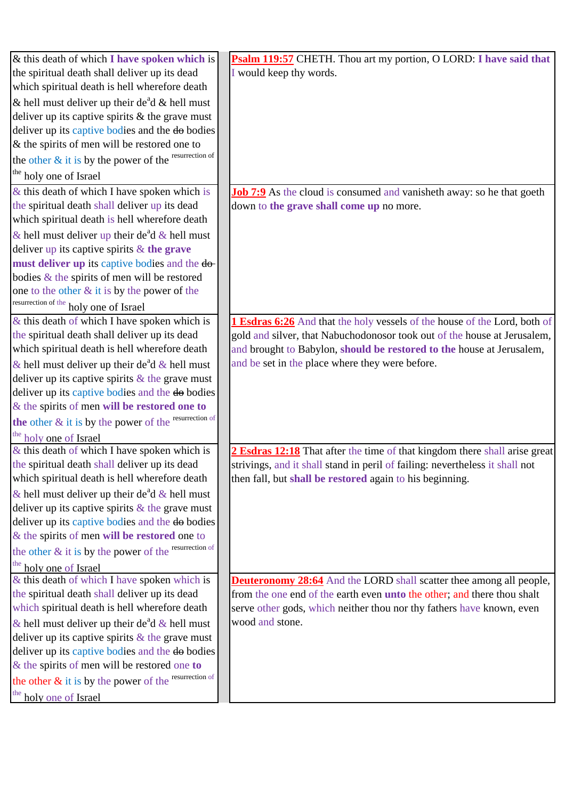| $\&$ this death of which I have spoken which is            | Psalm 119:57 CHETH. Thou art my portion, O LORD: I have said that               |
|------------------------------------------------------------|---------------------------------------------------------------------------------|
| the spiritual death shall deliver up its dead              | I would keep thy words.                                                         |
| which spiritual death is hell wherefore death              |                                                                                 |
| & hell must deliver up their de <sup>a</sup> d & hell must |                                                                                 |
| deliver up its captive spirits $\&$ the grave must         |                                                                                 |
| deliver up its captive bodies and the do bodies            |                                                                                 |
| $\&$ the spirits of men will be restored one to            |                                                                                 |
| the other & it is by the power of the resurrection of      |                                                                                 |
| the holy one of Israel                                     |                                                                                 |
| $\&$ this death of which I have spoken which is            | <b>Job 7:9</b> As the cloud is consumed and vanisheth away: so he that goeth    |
| the spiritual death shall deliver up its dead              | down to the grave shall come up no more.                                        |
| which spiritual death is hell wherefore death              |                                                                                 |
| & hell must deliver up their de <sup>a</sup> d & hell must |                                                                                 |
| deliver up its captive spirits $&$ the grave               |                                                                                 |
| must deliver up its captive bodies and the do-             |                                                                                 |
| bodies & the spirits of men will be restored               |                                                                                 |
| one to the other $&$ it is by the power of the             |                                                                                 |
| resurrection of the holy one of Israel                     |                                                                                 |
| $\&$ this death of which I have spoken which is            | 1 Esdras 6:26 And that the holy vessels of the house of the Lord, both of       |
| the spiritual death shall deliver up its dead              | gold and silver, that Nabuchodonosor took out of the house at Jerusalem,        |
| which spiritual death is hell wherefore death              | and brought to Babylon, should be restored to the house at Jerusalem,           |
| & hell must deliver up their de <sup>a</sup> d & hell must | and be set in the place where they were before.                                 |
| deliver up its captive spirits $\&$ the grave must         |                                                                                 |
| deliver up its captive bodies and the do bodies            |                                                                                 |
| $\&$ the spirits of men will be restored one to            |                                                                                 |
| the other & it is by the power of the resurrection of      |                                                                                 |
| the holy one of Israel                                     |                                                                                 |
| $\&$ this death of which I have spoken which is            | 2 Esdras 12:18 That after the time of that kingdom there shall arise great      |
| the spiritual death shall deliver up its dead              | strivings, and it shall stand in peril of failing: nevertheless it shall not    |
| which spiritual death is hell wherefore death              | then fall, but shall be restored again to his beginning.                        |
| & hell must deliver up their de <sup>a</sup> d & hell must |                                                                                 |
| deliver up its captive spirits $\&$ the grave must         |                                                                                 |
| deliver up its captive bodies and the do bodies            |                                                                                 |
| & the spirits of men will be restored one to               |                                                                                 |
| the other & it is by the power of the resurrection of      |                                                                                 |
| the<br>holy one of Israel                                  |                                                                                 |
| & this death of which I have spoken which is               | <b>Deuteronomy 28:64</b> And the LORD shall scatter thee among all people,      |
| the spiritual death shall deliver up its dead              | from the one end of the earth even <b>unto the other</b> ; and there thou shalt |
| which spiritual death is hell wherefore death              | serve other gods, which neither thou nor thy fathers have known, even           |
| & hell must deliver up their de <sup>a</sup> d & hell must | wood and stone.                                                                 |
| deliver up its captive spirits $\&$ the grave must         |                                                                                 |
| deliver up its captive bodies and the do bodies            |                                                                                 |
| $&$ the spirits of men will be restored one to             |                                                                                 |
| the other & it is by the power of the resurrection of      |                                                                                 |
| the holy one of Israel                                     |                                                                                 |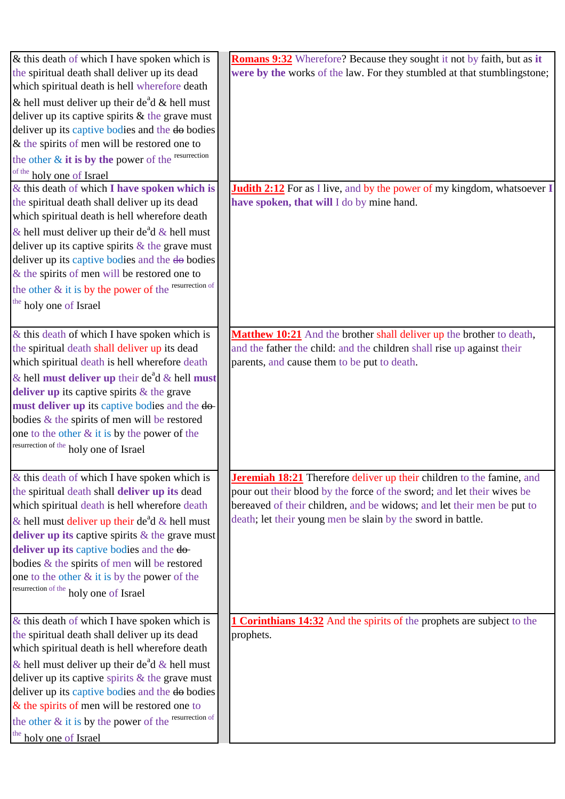| & this death of which I have spoken which is                                                   | <b>Romans 9:32</b> Wherefore? Because they sought it not by faith, but as it                                                                           |
|------------------------------------------------------------------------------------------------|--------------------------------------------------------------------------------------------------------------------------------------------------------|
| the spiritual death shall deliver up its dead                                                  | were by the works of the law. For they stumbled at that stumblingstone;                                                                                |
| which spiritual death is hell wherefore death                                                  |                                                                                                                                                        |
| & hell must deliver up their de <sup>a</sup> d & hell must                                     |                                                                                                                                                        |
| deliver up its captive spirits $\&$ the grave must                                             |                                                                                                                                                        |
| deliver up its captive bodies and the do bodies                                                |                                                                                                                                                        |
| $&$ the spirits of men will be restored one to                                                 |                                                                                                                                                        |
| the other $\&$ it is by the power of the resurrection                                          |                                                                                                                                                        |
| of the holy one of Israel                                                                      |                                                                                                                                                        |
| & this death of which I have spoken which is                                                   | <b>Judith 2:12</b> For as I live, and by the power of my kingdom, whatsoever I                                                                         |
| the spiritual death shall deliver up its dead                                                  | have spoken, that will I do by mine hand.                                                                                                              |
| which spiritual death is hell wherefore death                                                  |                                                                                                                                                        |
| & hell must deliver up their de <sup>a</sup> d & hell must                                     |                                                                                                                                                        |
| deliver up its captive spirits $\&$ the grave must                                             |                                                                                                                                                        |
| deliver up its captive bodies and the do bodies                                                |                                                                                                                                                        |
| & the spirits of men will be restored one to                                                   |                                                                                                                                                        |
| the other & it is by the power of the resurrection of                                          |                                                                                                                                                        |
| the holy one of Israel                                                                         |                                                                                                                                                        |
|                                                                                                |                                                                                                                                                        |
|                                                                                                |                                                                                                                                                        |
| $\&$ this death of which I have spoken which is                                                | Matthew 10:21 And the brother shall deliver up the brother to death,                                                                                   |
| the spiritual death shall deliver up its dead                                                  | and the father the child: and the children shall rise up against their                                                                                 |
| which spiritual death is hell wherefore death                                                  | parents, and cause them to be put to death.                                                                                                            |
| & hell must deliver up their de <sup>a</sup> d & hell must                                     |                                                                                                                                                        |
| deliver up its captive spirits $\&$ the grave                                                  |                                                                                                                                                        |
| must deliver up its captive bodies and the do-                                                 |                                                                                                                                                        |
| bodies & the spirits of men will be restored                                                   |                                                                                                                                                        |
| one to the other $&$ it is by the power of the                                                 |                                                                                                                                                        |
| resurrection of the holy one of Israel                                                         |                                                                                                                                                        |
|                                                                                                |                                                                                                                                                        |
| $&$ this death of which I have spoken which is                                                 | <b>Jeremiah 18:21</b> Therefore deliver up their children to the famine, and<br>pour out their blood by the force of the sword; and let their wives be |
| the spiritual death shall deliver up its dead                                                  | bereaved of their children, and be widows; and let their men be put to                                                                                 |
| which spiritual death is hell wherefore death                                                  | death; let their young men be slain by the sword in battle.                                                                                            |
| & hell must deliver up their de <sup>a</sup> d & hell must                                     |                                                                                                                                                        |
| deliver up its captive spirits $\&$ the grave must                                             |                                                                                                                                                        |
| deliver up its captive bodies and the do-                                                      |                                                                                                                                                        |
| bodies & the spirits of men will be restored                                                   |                                                                                                                                                        |
| one to the other $&$ it is by the power of the                                                 |                                                                                                                                                        |
| resurrection of the holy one of Israel                                                         |                                                                                                                                                        |
|                                                                                                |                                                                                                                                                        |
| $\&$ this death of which I have spoken which is                                                | <b>1 Corinthians 14:32</b> And the spirits of the prophets are subject to the                                                                          |
| the spiritual death shall deliver up its dead<br>which spiritual death is hell wherefore death | prophets.                                                                                                                                              |
|                                                                                                |                                                                                                                                                        |
| & hell must deliver up their de <sup>a</sup> d & hell must                                     |                                                                                                                                                        |
| deliver up its captive spirits $&$ the grave must                                              |                                                                                                                                                        |
| deliver up its captive bodies and the do bodies                                                |                                                                                                                                                        |
| $&$ the spirits of men will be restored one to                                                 |                                                                                                                                                        |
| the other & it is by the power of the resurrection of                                          |                                                                                                                                                        |
| the holy one of Israel                                                                         |                                                                                                                                                        |